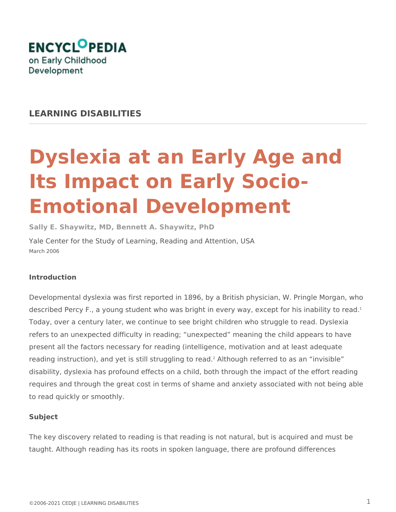

## **LEARNING DISABILITIES**

# **Dyslexia at an Early Age and Its Impact on Early Socio-Emotional Development**

**Sally E. Shaywitz, MD, Bennett A. Shaywitz, PhD**

Yale Center for the Study of Learning, Reading and Attention, USA March 2006

#### **Introduction**

Developmental dyslexia was first reported in 1896, by a British physician, W. Pringle Morgan, who described Percy F., a young student who was bright in every way, except for his inability to read.<sup>1</sup> Today, over a century later, we continue to see bright children who struggle to read. Dyslexia refers to an unexpected difficulty in reading; "unexpected" meaning the child appears to have present all the factors necessary for reading (intelligence, motivation and at least adequate reading instruction), and yet is still struggling to read.<sup>2</sup> Although referred to as an "invisible" disability, dyslexia has profound effects on a child, both through the impact of the effort reading requires and through the great cost in terms of shame and anxiety associated with not being able to read quickly or smoothly.

#### **Subject**

The key discovery related to reading is that reading is not natural, but is acquired and must be taught. Although reading has its roots in spoken language, there are profound differences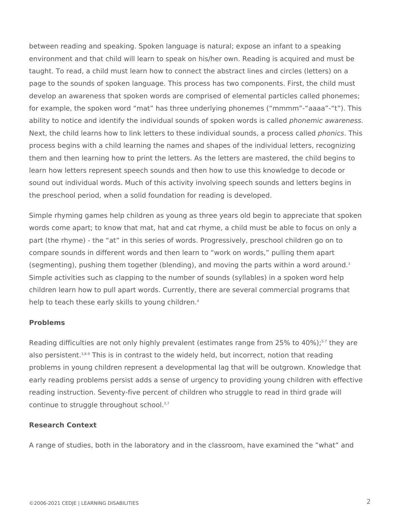between reading and speaking. Spoken language is natural; expose an infant to a speaking environment and that child will learn to speak on his/her own. Reading is acquired and must be taught. To read, a child must learn how to connect the abstract lines and circles (letters) on a page to the sounds of spoken language. This process has two components. First, the child must develop an awareness that spoken words are comprised of elemental particles called phonemes; for example, the spoken word "mat" has three underlying phonemes ("mmmm"-"aaaa"-"t"). This ability to notice and identify the individual sounds of spoken words is called *phonemic awareness.*  Next, the child learns how to link letters to these individual sounds, a process called *phonics*. This process begins with a child learning the names and shapes of the individual letters, recognizing them and then learning how to print the letters. As the letters are mastered, the child begins to learn how letters represent speech sounds and then how to use this knowledge to decode or sound out individual words. Much of this activity involving speech sounds and letters begins in the preschool period, when a solid foundation for reading is developed.

Simple rhyming games help children as young as three years old begin to appreciate that spoken words come apart; to know that mat, hat and cat rhyme, a child must be able to focus on only a part (the rhyme) - the "at" in this series of words. Progressively, preschool children go on to compare sounds in different words and then learn to "work on words," pulling them apart (segmenting), pushing them together (blending), and moving the parts within a word around.<sup>3</sup> Simple activities such as clapping to the number of sounds (syllables) in a spoken word help children learn how to pull apart words. Currently, there are several commercial programs that help to teach these early skills to young children.<sup>4</sup>

#### **Problems**

Reading difficulties are not only highly prevalent (estimates range from 25% to 40%);<sup>57</sup> they are also persistent. $3,8.9$  This is in contrast to the widely held, but incorrect, notion that reading problems in young children represent a developmental lag that will be outgrown. Knowledge that early reading problems persist adds a sense of urgency to providing young children with effective reading instruction. Seventy-five percent of children who struggle to read in third grade will continue to struggle throughout school.<sup>3,7</sup>

#### **Research Context**

A range of studies, both in the laboratory and in the classroom, have examined the "what" and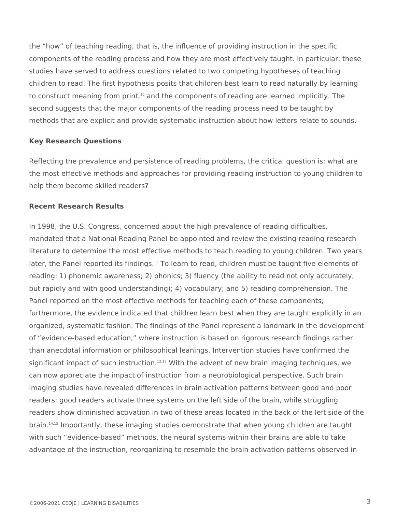the "how" of teaching reading, that is, the influence of providing instruction in the specific components of the reading process and how they are most effectively taught. In particular, these studies have served to address questions related to two competing hypotheses of teaching children to read. The first hypothesis posits that children best learn to read naturally by learning to construct meaning from print, $10$  and the components of reading are learned implicitly. The second suggests that the major components of the reading process need to be taught by methods that are explicit and provide systematic instruction about how letters relate to sounds.

#### **Key Research Questions**

Reflecting the prevalence and persistence of reading problems, the critical question is: what are the most effective methods and approaches for providing reading instruction to young children to help them become skilled readers?

#### **Recent Research Results**

In 1998, the U.S. Congress, concerned about the high prevalence of reading difficulties, mandated that a National Reading Panel be appointed and review the existing reading research literature to determine the most effective methods to teach reading to young children. Two years later, the Panel reported its findings.<sup>11</sup> To learn to read, children must be taught five elements of reading: 1) phonemic awareness; 2) phonics; 3) fluency (the ability to read not only accurately, but rapidly and with good understanding); 4) vocabulary; and 5) reading comprehension. The Panel reported on the most effective methods for teaching each of these components; furthermore, the evidence indicated that children learn best when they are taught explicitly in an organized, systematic fashion. The findings of the Panel represent a landmark in the development of "evidence-based education," where instruction is based on rigorous research findings rather than anecdotal information or philosophical leanings. Intervention studies have confirmed the significant impact of such instruction.<sup>12,13</sup> With the advent of new brain imaging techniques, we can now appreciate the impact of instruction from a neurobiological perspective. Such brain imaging studies have revealed differences in brain activation patterns between good and poor readers; good readers activate three systems on the left side of the brain, while struggling readers show diminished activation in two of these areas located in the back of the left side of the brain.14,15 Importantly, these imaging studies demonstrate that when young children are taught with such "evidence-based" methods, the neural systems within their brains are able to take advantage of the instruction, reorganizing to resemble the brain activation patterns observed in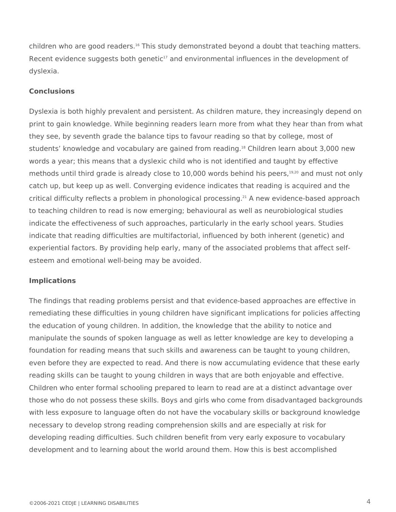children who are good readers.<sup>16</sup> This study demonstrated beyond a doubt that teaching matters. Recent evidence suggests both genetic<sup>17</sup> and environmental influences in the development of dyslexia.

#### **Conclusions**

Dyslexia is both highly prevalent and persistent. As children mature, they increasingly depend on print to gain knowledge. While beginning readers learn more from what they hear than from what they see, by seventh grade the balance tips to favour reading so that by college, most of students' knowledge and vocabulary are gained from reading.<sup>18</sup> Children learn about 3,000 new words a year; this means that a dyslexic child who is not identified and taught by effective methods until third grade is already close to 10,000 words behind his peers, $19,20$  and must not only catch up, but keep up as well. Converging evidence indicates that reading is acquired and the critical difficulty reflects a problem in phonological processing.21 A new evidence-based approach to teaching children to read is now emerging; behavioural as well as neurobiological studies indicate the effectiveness of such approaches, particularly in the early school years. Studies indicate that reading difficulties are multifactorial, influenced by both inherent (genetic) and experiential factors. By providing help early, many of the associated problems that affect selfesteem and emotional well-being may be avoided.

### **Implications**

The findings that reading problems persist and that evidence-based approaches are effective in remediating these difficulties in young children have significant implications for policies affecting the education of young children. In addition, the knowledge that the ability to notice and manipulate the sounds of spoken language as well as letter knowledge are key to developing a foundation for reading means that such skills and awareness can be taught to young children, even before they are expected to read. And there is now accumulating evidence that these early reading skills can be taught to young children in ways that are both enjoyable and effective. Children who enter formal schooling prepared to learn to read are at a distinct advantage over those who do not possess these skills. Boys and girls who come from disadvantaged backgrounds with less exposure to language often do not have the vocabulary skills or background knowledge necessary to develop strong reading comprehension skills and are especially at risk for developing reading difficulties. Such children benefit from very early exposure to vocabulary development and to learning about the world around them. How this is best accomplished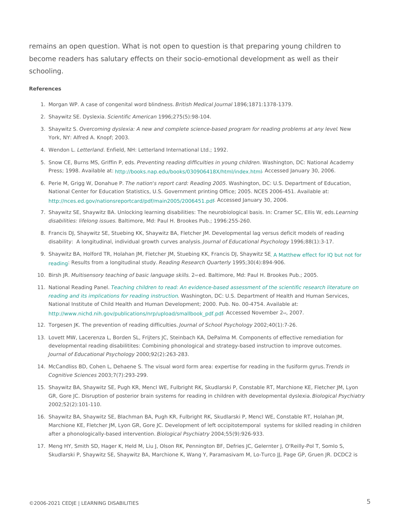remains an open question. What is not open to question is that preparing young become readers has salutary effects on their socio-emotional development a schooling.

#### References

- 1. Morgan WP. A case of congenital wBritish Monder issal Joang 6 and 871:1378-1379.
- 2. Shaywitz SE. Dy Siceixeiratific Amet 9c9a6n 275(5):98-104.
- 3. Shaywitz OS ercoming dyslexia: A new and complete science-based program for readde mg problems York, NY: Alfred A. Knopf; 2003.
- 4. Wendon Letterlan anfield, NH: Letterland International Ltd.; 1992.
- 5. Snow CE, Burns MS, Grifffine vPe,n beidag. reading difficulties in yoWuansghichgitolnenDC: National Academy Press; 1998. Availphthe: atiooks.nap.edu/books/030906418X/html . And . And . And . 30, 2006.
- 6. Perie M, Grigg W, DonTabunea Pion's report card: ReaWliansgh i2n0g0t5sin, DC: U.S. Department of Educatio National Center for Education Statistics, U.S. Government printing Office; 2005. NCES 2006-45 [http://nces.ed.gov/nationsreportcard/pdf/main](http://nces.ed.gov/nationsreportcard/pdf/main2005/2006451.pdf)2 $\theta$ OS $\beta$ 2500644 $\delta$ anwary 30, 2006.
- 7. Shaywitz SE, Shaywitz BA. Unlocking learning disabilities: The neurobiologicalLheasinsingh: Cram disabilities: lifelong BiasIstimessre, Md: Paul H. Brookes Pub.; 1996:255-260.
- 8. Francis DJ, Shaywitz SE, Stuebing KK, Shaywitz BA, Fletcher JM. Developmental lag versus de disability: A longitudinal, individual growt tho woun are so fare aluyosabional P1s9y 9c61,80(1):3-17.
- 9. Shaywitz BA, Holford TR, Holahan JM, Fletcher JM, Stuebing KK, Matansis HdecShaywidzbSE not f reading Results from a longitud Rhead dsinugd Research Qui & Bt fe; r3  $9(4)$ :894-906.
- 10.Birsh JVRultisensory teaching of basic lan2geudag Baskiinhore, Md: Paul H. Brookes Pub.; 2005.
- 11. National Reading TPeanehling children to read: An evidence-based assessment of the scientific res reading and its implications for readiW gashist guoth, ODC: U.S. Department of Health and Human Se National Institute of Child Health and Human Development; 2000. Pub. No. 00-4754. Available at: [http://www.nichd.nih.gov/publications/nrp/uploa](http://www.nichd.nih.gov/publications/nrp/upload/smallbook_pdf.pdf)d/&mQqBbcedk\_Npdf@mLbp@0027.
- 12. Torgesen JK. The prevention of readling rotaffic to B chool Ps 2002140(1): 7-26.
- 13.Lovett MW, Lacerenza L, Borden SL, Frijters JC, Steinbach KA, DePalma M. Components of effe developmental reading disabilitites: Combining phonological and strategy-based instruction to Journal of Educational P2s0y @ th; c9l 20 (g2y): 263-283.
- 14. McCandliss BD, Cohen L, Dehaene S. The visual word form area: expertise for erredasdiimg in the fu  $C$ ognitive Scie $2$ n0 $0$ e $3$ s,  $7(7)$ : 293-299.
- 15.Shaywitz BA, Shaywitz SE, Pugh KR, Mencl WE, Fulbright RK, Skudlarski P, Constable RT, Mar GR, Gore JC. Disruption of posterior brain systems for reading in childreBnowloitghicdaelvPestoynphmieanttgal 2002;52(2):101-110.
- 16.Shaywitz BA, Shaywitz SE, Blachman BA, Pugh KR, Fulbright RK, Skudlarski P, Mencl WE, Cons Marchione KE, Fletcher JM, Lyon GR, Gore JC. Development of left occipitotemporal systems f after a phonologically-based iBitelroginctal rPsyc2n08#r;y55(9):926-933.
- 17. Meng HY, Smith SD, Hager K, Held M, Liu J, Olson RK, Pennington BF, Defries JC, Gelernter J Skudlarski P, Shaywitz SE, Shaywitz BA, Marchione K, Wang Y, Paramasivam M, Lo-Turco JJ, P